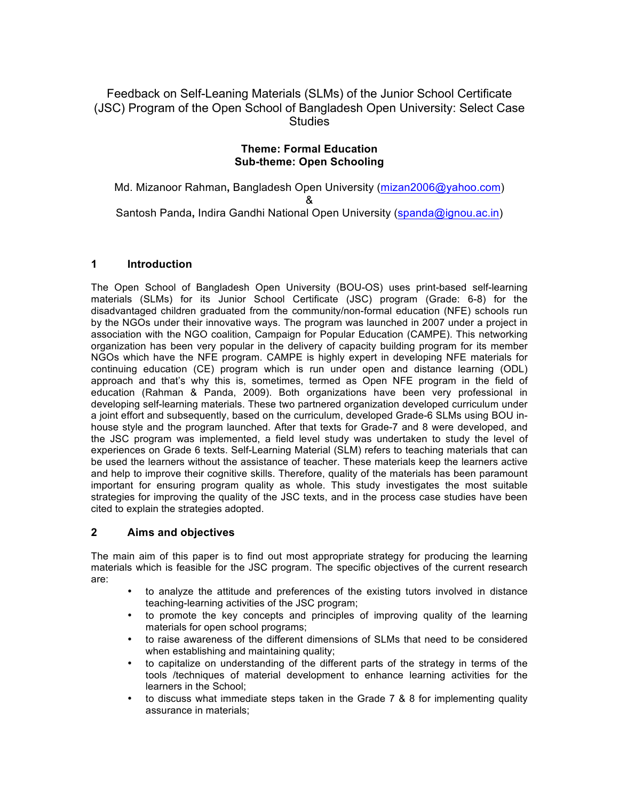Feedback on Self-Leaning Materials (SLMs) of the Junior School Certificate (JSC) Program of the Open School of Bangladesh Open University: Select Case **Studies** 

## **Theme: Formal Education Sub-theme: Open Schooling**

Md. Mizanoor Rahman**,** Bangladesh Open University (mizan2006@yahoo.com) & Santosh Panda**,** Indira Gandhi National Open University (spanda@ignou.ac.in)

# **1 Introduction**

The Open School of Bangladesh Open University (BOU-OS) uses print-based self-learning materials (SLMs) for its Junior School Certificate (JSC) program (Grade: 6-8) for the disadvantaged children graduated from the community/non-formal education (NFE) schools run by the NGOs under their innovative ways. The program was launched in 2007 under a project in association with the NGO coalition, Campaign for Popular Education (CAMPE). This networking organization has been very popular in the delivery of capacity building program for its member NGOs which have the NFE program. CAMPE is highly expert in developing NFE materials for continuing education (CE) program which is run under open and distance learning (ODL) approach and that's why this is, sometimes, termed as Open NFE program in the field of education (Rahman & Panda, 2009). Both organizations have been very professional in developing self-learning materials. These two partnered organization developed curriculum under a joint effort and subsequently, based on the curriculum, developed Grade-6 SLMs using BOU inhouse style and the program launched. After that texts for Grade-7 and 8 were developed, and the JSC program was implemented, a field level study was undertaken to study the level of experiences on Grade 6 texts. Self-Learning Material (SLM) refers to teaching materials that can be used the learners without the assistance of teacher. These materials keep the learners active and help to improve their cognitive skills. Therefore, quality of the materials has been paramount important for ensuring program quality as whole. This study investigates the most suitable strategies for improving the quality of the JSC texts, and in the process case studies have been cited to explain the strategies adopted.

# **2 Aims and objectives**

The main aim of this paper is to find out most appropriate strategy for producing the learning materials which is feasible for the JSC program. The specific objectives of the current research are:

- to analyze the attitude and preferences of the existing tutors involved in distance teaching-learning activities of the JSC program;
- to promote the key concepts and principles of improving quality of the learning materials for open school programs;
- to raise awareness of the different dimensions of SLMs that need to be considered when establishing and maintaining quality;
- to capitalize on understanding of the different parts of the strategy in terms of the tools /techniques of material development to enhance learning activities for the learners in the School;
- to discuss what immediate steps taken in the Grade 7 & 8 for implementing quality assurance in materials;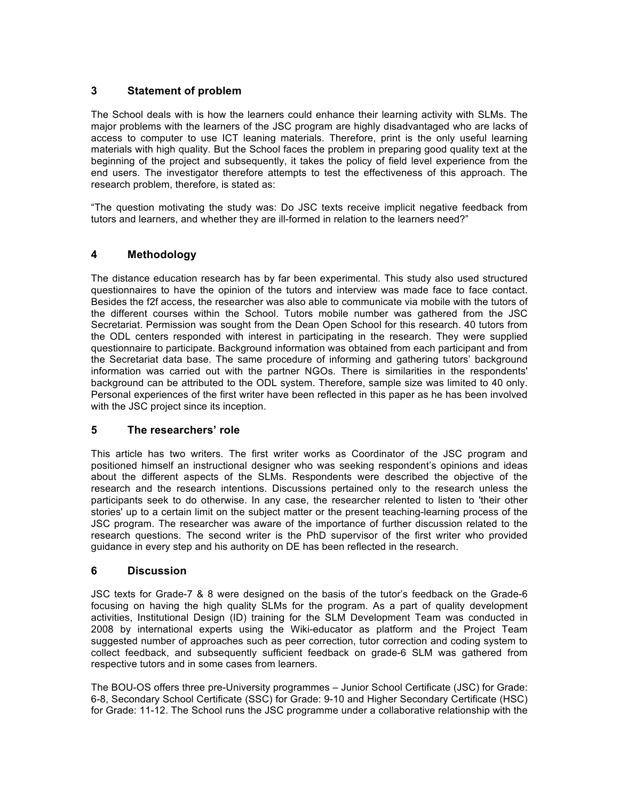# **3 Statement of problem**

The School deals with is how the learners could enhance their learning activity with SLMs. The major problems with the learners of the JSC program are highly disadvantaged who are lacks of access to computer to use ICT leaning materials. Therefore, print is the only useful learning materials with high quality. But the School faces the problem in preparing good quality text at the beginning of the project and subsequently, it takes the policy of field level experience from the end users. The investigator therefore attempts to test the effectiveness of this approach. The research problem, therefore, is stated as:

"The question motivating the study was: Do JSC texts receive implicit negative feedback from tutors and learners, and whether they are ill-formed in relation to the learners need?"

# **4 Methodology**

The distance education research has by far been experimental. This study also used structured questionnaires to have the opinion of the tutors and interview was made face to face contact. Besides the f2f access, the researcher was also able to communicate via mobile with the tutors of the different courses within the School. Tutors mobile number was gathered from the JSC Secretariat. Permission was sought from the Dean Open School for this research. 40 tutors from the ODL centers responded with interest in participating in the research. They were supplied questionnaire to participate. Background information was obtained from each participant and from the Secretariat data base. The same procedure of informing and gathering tutors' background information was carried out with the partner NGOs. There is similarities in the respondents' background can be attributed to the ODL system. Therefore, sample size was limited to 40 only. Personal experiences of the first writer have been reflected in this paper as he has been involved with the JSC project since its inception.

## **5 The researchers' role**

This article has two writers. The first writer works as Coordinator of the JSC program and positioned himself an instructional designer who was seeking respondent's opinions and ideas about the different aspects of the SLMs. Respondents were described the objective of the research and the research intentions. Discussions pertained only to the research unless the participants seek to do otherwise. In any case, the researcher relented to listen to 'their other stories' up to a certain limit on the subject matter or the present teaching-learning process of the JSC program. The researcher was aware of the importance of further discussion related to the research questions. The second writer is the PhD supervisor of the first writer who provided guidance in every step and his authority on DE has been reflected in the research.

## **6 Discussion**

JSC texts for Grade-7 & 8 were designed on the basis of the tutor's feedback on the Grade-6 focusing on having the high quality SLMs for the program. As a part of quality development activities, Institutional Design (ID) training for the SLM Development Team was conducted in 2008 by international experts using the Wiki-educator as platform and the Project Team suggested number of approaches such as peer correction, tutor correction and coding system to collect feedback, and subsequently sufficient feedback on grade-6 SLM was gathered from respective tutors and in some cases from learners.

The BOU-OS offers three pre-University programmes – Junior School Certificate (JSC) for Grade: 6-8, Secondary School Certificate (SSC) for Grade: 9-10 and Higher Secondary Certificate (HSC) for Grade: 11-12. The School runs the JSC programme under a collaborative relationship with the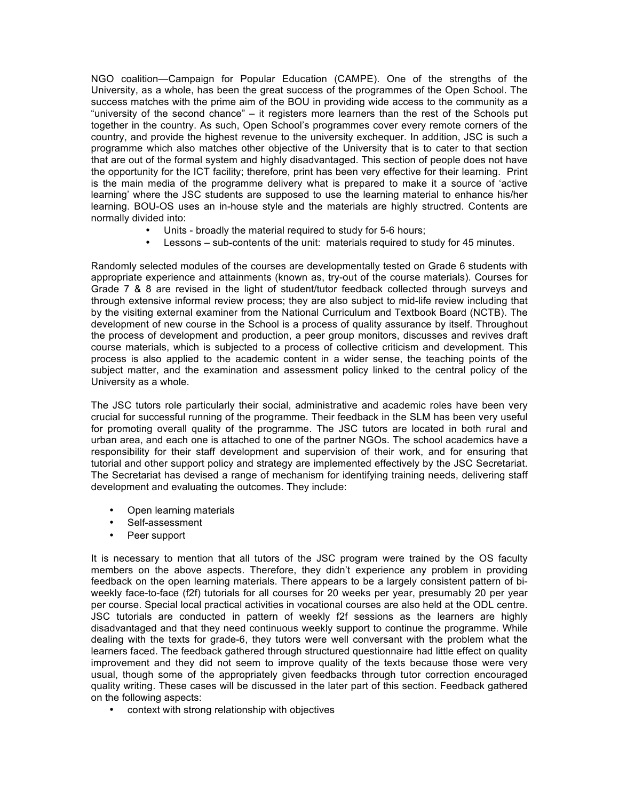NGO coalition—Campaign for Popular Education (CAMPE). One of the strengths of the University, as a whole, has been the great success of the programmes of the Open School. The success matches with the prime aim of the BOU in providing wide access to the community as a "university of the second chance" – it registers more learners than the rest of the Schools put together in the country. As such, Open School's programmes cover every remote corners of the country, and provide the highest revenue to the university exchequer. In addition, JSC is such a programme which also matches other objective of the University that is to cater to that section that are out of the formal system and highly disadvantaged. This section of people does not have the opportunity for the ICT facility; therefore, print has been very effective for their learning. Print is the main media of the programme delivery what is prepared to make it a source of 'active learning' where the JSC students are supposed to use the learning material to enhance his/her learning. BOU-OS uses an in-house style and the materials are highly structred. Contents are normally divided into:

- Units broadly the material required to study for 5-6 hours;
- Lessons sub-contents of the unit: materials required to study for 45 minutes.

Randomly selected modules of the courses are developmentally tested on Grade 6 students with appropriate experience and attainments (known as, try-out of the course materials). Courses for Grade 7 & 8 are revised in the light of student/tutor feedback collected through surveys and through extensive informal review process; they are also subject to mid-life review including that by the visiting external examiner from the National Curriculum and Textbook Board (NCTB). The development of new course in the School is a process of quality assurance by itself. Throughout the process of development and production, a peer group monitors, discusses and revives draft course materials, which is subjected to a process of collective criticism and development. This process is also applied to the academic content in a wider sense, the teaching points of the subject matter, and the examination and assessment policy linked to the central policy of the University as a whole.

The JSC tutors role particularly their social, administrative and academic roles have been very crucial for successful running of the programme. Their feedback in the SLM has been very useful for promoting overall quality of the programme. The JSC tutors are located in both rural and urban area, and each one is attached to one of the partner NGOs. The school academics have a responsibility for their staff development and supervision of their work, and for ensuring that tutorial and other support policy and strategy are implemented effectively by the JSC Secretariat. The Secretariat has devised a range of mechanism for identifying training needs, delivering staff development and evaluating the outcomes. They include:

- Open learning materials
- Self-assessment<br>• Peer support
- Peer support

It is necessary to mention that all tutors of the JSC program were trained by the OS faculty members on the above aspects. Therefore, they didn't experience any problem in providing feedback on the open learning materials. There appears to be a largely consistent pattern of biweekly face-to-face (f2f) tutorials for all courses for 20 weeks per year, presumably 20 per year per course. Special local practical activities in vocational courses are also held at the ODL centre. JSC tutorials are conducted in pattern of weekly f2f sessions as the learners are highly disadvantaged and that they need continuous weekly support to continue the programme. While dealing with the texts for grade-6, they tutors were well conversant with the problem what the learners faced. The feedback gathered through structured questionnaire had little effect on quality improvement and they did not seem to improve quality of the texts because those were very usual, though some of the appropriately given feedbacks through tutor correction encouraged quality writing. These cases will be discussed in the later part of this section. Feedback gathered on the following aspects:

• context with strong relationship with objectives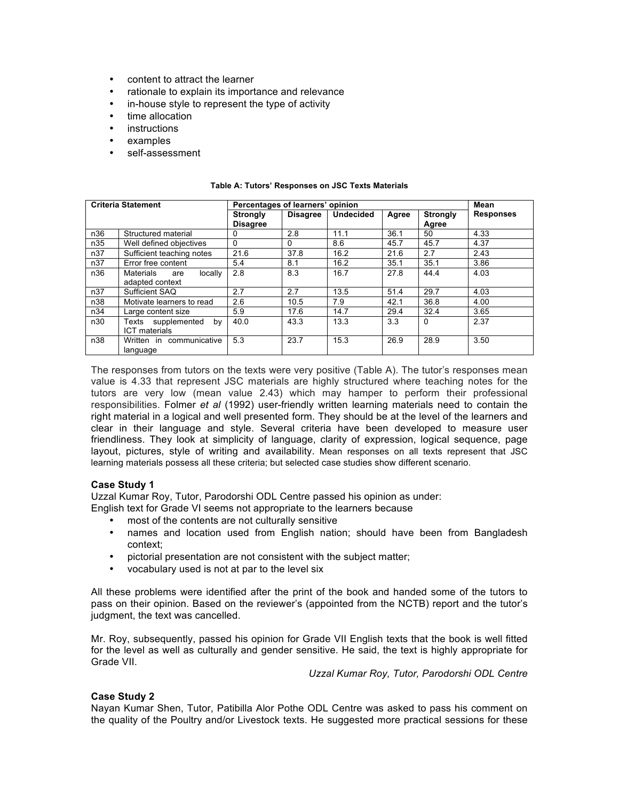- content to attract the learner
- rationale to explain its importance and relevance
- in-house style to represent the type of activity
- time allocation
- **instructions**
- examples
- self-assessment

| <b>Criteria Statement</b> |                                    | Percentages of learners' opinion |                 |                  |       |                 | Mean             |
|---------------------------|------------------------------------|----------------------------------|-----------------|------------------|-------|-----------------|------------------|
|                           |                                    | <b>Strongly</b>                  | <b>Disagree</b> | <b>Undecided</b> | Agree | <b>Strongly</b> | <b>Responses</b> |
|                           |                                    | <b>Disagree</b>                  |                 |                  |       | Agree           |                  |
| n36                       | Structured material                | 0                                | 2.8             | 11.1             | 36.1  | 50              | 4.33             |
| n35                       | Well defined objectives            | 0                                | 0               | 8.6              | 45.7  | 45.7            | 4.37             |
| n37                       | Sufficient teaching notes          | 21.6                             | 37.8            | 16.2             | 21.6  | 2.7             | 2.43             |
| n37                       | Error free content                 | 5.4                              | 8.1             | 16.2             | 35.1  | 35.1            | 3.86             |
| n36                       | <b>Materials</b><br>locally<br>are | 2.8                              | 8.3             | 16.7             | 27.8  | 44.4            | 4.03             |
|                           | adapted context                    |                                  |                 |                  |       |                 |                  |
| n37                       | Sufficient SAQ                     | 2.7                              | 2.7             | 13.5             | 51.4  | 29.7            | 4.03             |
| n38                       | Motivate learners to read          | 2.6                              | 10.5            | 7.9              | 42.1  | 36.8            | 4.00             |
| n34                       | Large content size                 | 5.9                              | 17.6            | 14.7             | 29.4  | 32.4            | 3.65             |
| n30                       | Texts supplemented<br>by           | 40.0                             | 43.3            | 13.3             | 3.3   | $\Omega$        | 2.37             |
|                           | <b>ICT</b> materials               |                                  |                 |                  |       |                 |                  |
| n38                       | Written in communicative           | 5.3                              | 23.7            | 15.3             | 26.9  | 28.9            | 3.50             |
|                           | language                           |                                  |                 |                  |       |                 |                  |

#### **Table A: Tutors' Responses on JSC Texts Materials**

The responses from tutors on the texts were very positive (Table A). The tutor's responses mean value is 4.33 that represent JSC materials are highly structured where teaching notes for the tutors are very low (mean value 2.43) which may hamper to perform their professional responsibilities. Folmer *et al* (1992) user-friendly written learning materials need to contain the right material in a logical and well presented form. They should be at the level of the learners and clear in their language and style. Several criteria have been developed to measure user friendliness. They look at simplicity of language, clarity of expression, logical sequence, page layout, pictures, style of writing and availability. Mean responses on all texts represent that JSC learning materials possess all these criteria; but selected case studies show different scenario.

## **Case Study 1**

Uzzal Kumar Roy, Tutor, Parodorshi ODL Centre passed his opinion as under:

English text for Grade VI seems not appropriate to the learners because

- most of the contents are not culturally sensitive
- names and location used from English nation; should have been from Bangladesh context;
- pictorial presentation are not consistent with the subject matter;
- vocabulary used is not at par to the level six

All these problems were identified after the print of the book and handed some of the tutors to pass on their opinion. Based on the reviewer's (appointed from the NCTB) report and the tutor's judgment, the text was cancelled.

Mr. Roy, subsequently, passed his opinion for Grade VII English texts that the book is well fitted for the level as well as culturally and gender sensitive. He said, the text is highly appropriate for Grade VII.

*Uzzal Kumar Roy, Tutor, Parodorshi ODL Centre*

## **Case Study 2**

Nayan Kumar Shen, Tutor, Patibilla Alor Pothe ODL Centre was asked to pass his comment on the quality of the Poultry and/or Livestock texts. He suggested more practical sessions for these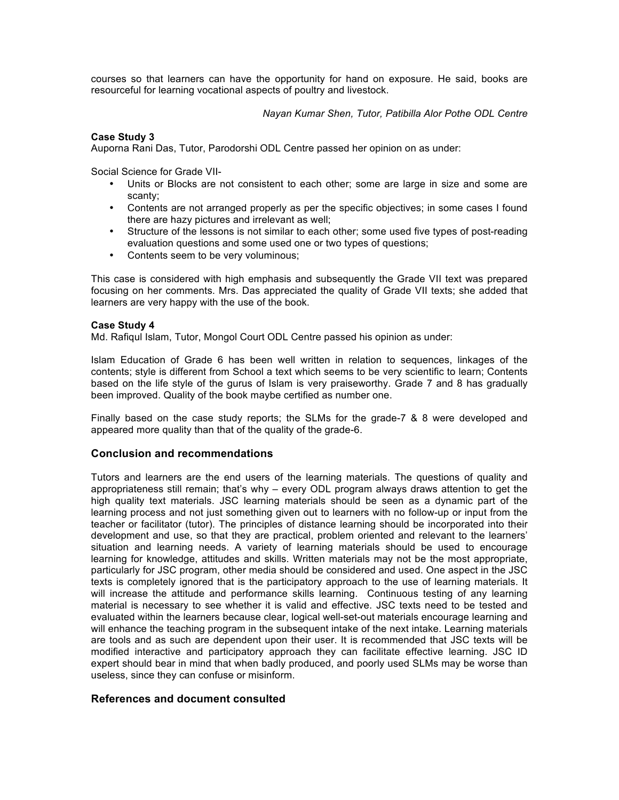courses so that learners can have the opportunity for hand on exposure. He said, books are resourceful for learning vocational aspects of poultry and livestock.

*Nayan Kumar Shen, Tutor, Patibilla Alor Pothe ODL Centre*

## **Case Study 3**

Auporna Rani Das, Tutor, Parodorshi ODL Centre passed her opinion on as under:

Social Science for Grade VII-

- Units or Blocks are not consistent to each other; some are large in size and some are scanty;
- Contents are not arranged properly as per the specific objectives; in some cases I found there are hazy pictures and irrelevant as well;
- Structure of the lessons is not similar to each other; some used five types of post-reading evaluation questions and some used one or two types of questions;
- Contents seem to be very voluminous;

This case is considered with high emphasis and subsequently the Grade VII text was prepared focusing on her comments. Mrs. Das appreciated the quality of Grade VII texts; she added that learners are very happy with the use of the book.

### **Case Study 4**

Md. Rafiqul Islam, Tutor, Mongol Court ODL Centre passed his opinion as under:

Islam Education of Grade 6 has been well written in relation to sequences, linkages of the contents; style is different from School a text which seems to be very scientific to learn; Contents based on the life style of the gurus of Islam is very praiseworthy. Grade 7 and 8 has gradually been improved. Quality of the book maybe certified as number one.

Finally based on the case study reports; the SLMs for the grade-7 & 8 were developed and appeared more quality than that of the quality of the grade-6.

## **Conclusion and recommendations**

Tutors and learners are the end users of the learning materials. The questions of quality and appropriateness still remain; that's why – every ODL program always draws attention to get the high quality text materials. JSC learning materials should be seen as a dynamic part of the learning process and not just something given out to learners with no follow-up or input from the teacher or facilitator (tutor). The principles of distance learning should be incorporated into their development and use, so that they are practical, problem oriented and relevant to the learners' situation and learning needs. A variety of learning materials should be used to encourage learning for knowledge, attitudes and skills. Written materials may not be the most appropriate, particularly for JSC program, other media should be considered and used. One aspect in the JSC texts is completely ignored that is the participatory approach to the use of learning materials. It will increase the attitude and performance skills learning. Continuous testing of any learning material is necessary to see whether it is valid and effective. JSC texts need to be tested and evaluated within the learners because clear, logical well-set-out materials encourage learning and will enhance the teaching program in the subsequent intake of the next intake. Learning materials are tools and as such are dependent upon their user. It is recommended that JSC texts will be modified interactive and participatory approach they can facilitate effective learning. JSC ID expert should bear in mind that when badly produced, and poorly used SLMs may be worse than useless, since they can confuse or misinform.

## **References and document consulted**